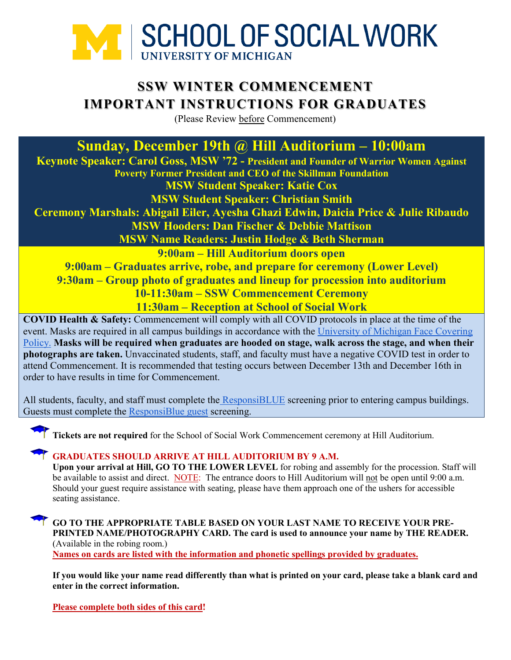

# **SSW WINTER COMMENCEMENT IMPORTANT INSTRUCTIONS FOR GRADUATES**

(Please Review before Commencement)

**Sunday, December 19th @ Hill Auditorium – 10:00am**

**Keynote Speaker: Carol Goss, MSW '72 - President and Founder of Warrior Women Against Poverty Former President and CEO of the Skillman Foundation MSW Student Speaker: Katie Cox**

**MSW Student Speaker: Christian Smith**

**Ceremony Marshals: Abigail Eiler, Ayesha Ghazi Edwin, Daicia Price & Julie Ribaudo MSW Hooders: Dan Fischer & Debbie Mattison**

**MSW Name Readers: Justin Hodge & Beth Sherman**

**9:00am – Hill Auditorium doors open**

**9:00am – Graduates arrive, robe, and prepare for ceremony (Lower Level) 9:30am – Group photo of graduates and lineup for procession into auditorium 10-11:30am – SSW Commencement Ceremony 11:30am – Reception at School of Social Work**

**COVID Health & Safety:** Commencement will comply with all COVID protocols in place at the time of the event. Masks are required in all campus buildings in accordance with the [University of Michigan Face Covering](https://ehs.umich.edu/wp-content/uploads/2020/07/U-M-Face-Covering-Policy-for-COVID-19.pdf)  [Policy.](https://ehs.umich.edu/wp-content/uploads/2020/07/U-M-Face-Covering-Policy-for-COVID-19.pdf) **Masks will be required when graduates are hooded on stage, walk across the stage, and when their photographs are taken.** Unvaccinated students, staff, and faculty must have a negative COVID test in order to attend Commencement. It is recommended that testing occurs between December 13th and December 16th in order to have results in time for Commencement.

All students, faculty, and staff must complete the [ResponsiBLUE](https://responsiblue.umich.edu/home) screening prior to entering campus buildings. Guests must complete the [ResponsiBlue guest](https://umich.qualtrics.com/jfe/form/SV_3PminsH4aZnBWER) screening.

**Tickets are not required** for the School of Social Work Commencement ceremony at Hill Auditorium.

### **GRADUATES SHOULD ARRIVE AT HILL AUDITORIUM BY 9 A.M.**

**Upon your arrival at Hill, GO TO THE LOWER LEVEL** for robing and assembly for the procession. Staff will be available to assist and direct. NOTE: The entrance doors to Hill Auditorium will not be open until 9:00 a.m. Should your guest require assistance with seating, please have them approach one of the ushers for accessible seating assistance.

## **GO TO THE APPROPRIATE TABLE BASED ON YOUR LAST NAME TO RECEIVE YOUR PRE-PRINTED NAME/PHOTOGRAPHY CARD. The card is used to announce your name by THE READER.**  (Available in the robing room.)

**Names on cards are listed with the information and phonetic spellings provided by graduates.** 

**If you would like your name read differently than what is printed on your card, please take a blank card and enter in the correct information.**

**Please complete both sides of this card!**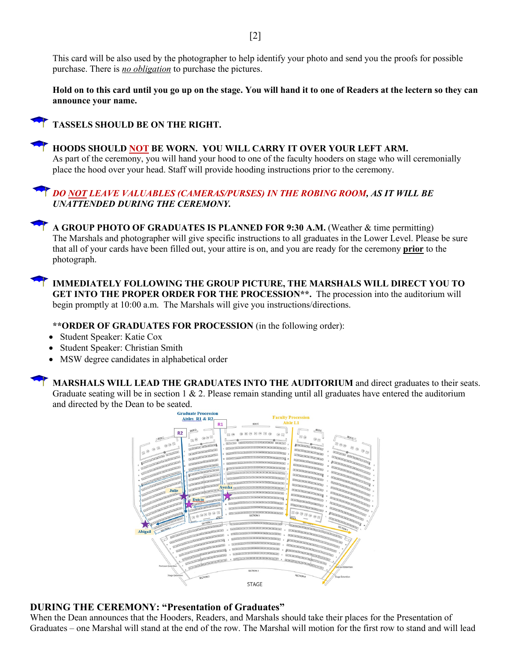This card will be also used by the photographer to help identify your photo and send you the proofs for possible purchase. There is *no obligation* to purchase the pictures.

**Hold on to this card until you go up on the stage. You will hand it to one of Readers at the lectern so they can announce your name.**

**TASSELS SHOULD BE ON THE RIGHT.** 



**HOODS SHOULD NOT BE WORN. YOU WILL CARRY IT OVER YOUR LEFT ARM.**  As part of the ceremony, you will hand your hood to one of the faculty hooders on stage who will ceremonially place the hood over your head. Staff will provide hooding instructions prior to the ceremony.

#### *DO NOT LEAVE VALUABLES (CAMERAS/PURSES) IN THE ROBING ROOM, AS IT WILL BE UNATTENDED DURING THE CEREMONY.*

**A GROUP PHOTO OF GRADUATES IS PLANNED FOR 9:30 A.M.** (Weather & time permitting) The Marshals and photographer will give specific instructions to all graduates in the Lower Level. Please be sure that all of your cards have been filled out, your attire is on, and you are ready for the ceremony **prior** to the photograph.

**IMMEDIATELY FOLLOWING THE GROUP PICTURE, THE MARSHALS WILL DIRECT YOU TO GET INTO THE PROPER ORDER FOR THE PROCESSION\*\*.** The procession into the auditorium will begin promptly at 10:00 a.m. The Marshals will give you instructions/directions.

**\*\*ORDER OF GRADUATES FOR PROCESSION** (in the following order):

- Student Speaker: Katie Cox
- Student Speaker: Christian Smith
- MSW degree candidates in alphabetical order

**MARSHALS WILL LEAD THE GRADUATES INTO THE AUDITORIUM** and direct graduates to their seats. Graduate seating will be in section  $1 \& 2$ . Please remain standing until all graduates have entered the auditorium and directed by the Dean to be seated.



#### **DURING THE CEREMONY: "Presentation of Graduates"**

When the Dean announces that the Hooders, Readers, and Marshals should take their places for the Presentation of Graduates – one Marshal will stand at the end of the row. The Marshal will motion for the first row to stand and will lead